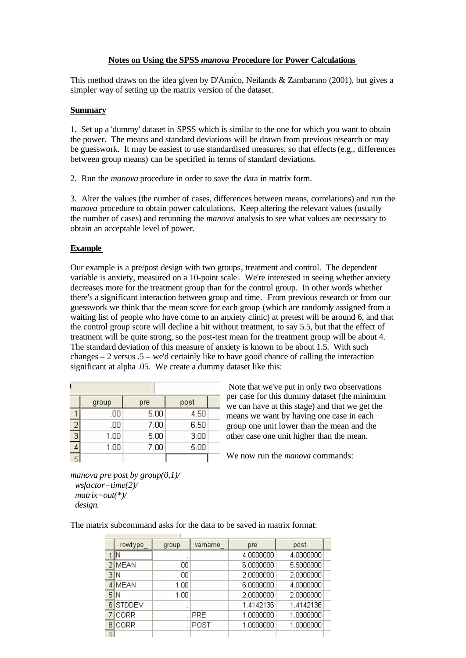# **Notes on Using the SPSS** *manova* **Procedure for Power Calculations**

This method draws on the idea given by D'Amico, Neilands & Zambarano (2001), but gives a simpler way of setting up the matrix version of the dataset.

#### **Summary**

1. Set up a 'dummy' dataset in SPSS which is similar to the one for which you want to obtain the power. The means and standard deviations will be drawn from previous research or may be guesswork. It may be easiest to use standardised measures, so that effects (e.g., differences between group means) can be specified in terms of standard deviations.

2. Run the *manova* procedure in order to save the data in matrix form.

3. Alter the values (the number of cases, differences between means, correlations) and run the *manova* procedure to obtain power calculations. Keep altering the relevant values (usually the number of cases) and rerunning the *manova* analysis to see what values are necessary to obtain an acceptable level of power.

# **Example**

Our example is a pre/post design with two groups, treatment and control. The dependent variable is anxiety, measured on a 10-point scale. We're interested in seeing whether anxiety decreases more for the treatment group than for the control group. In other words whether there's a significant interaction between group and time. From previous research or from our guesswork we think that the mean score for each group (which are randomly assigned from a waiting list of people who have come to an anxiety clinic) at pretest will be around 6, and that the control group score will decline a bit without treatment, to say 5.5, but that the effect of treatment will be quite strong, so the post-test mean for the treatment group will be about 4. The standard deviation of this measure of anxiety is known to be about 1.5. With such changes  $-2$  versus  $.5$  – we'd certainly like to have good chance of calling the interaction significant at alpha .05. We create a dummy dataset like this:

|   | group | pre  | post |  |
|---|-------|------|------|--|
|   | .00   | 5.00 | 4.50 |  |
|   | .00   | 7.00 | 6.50 |  |
| 3 | 1.00  | 5.00 | 3.00 |  |
|   | 1.00  | 7.00 | 5.00 |  |
|   |       |      |      |  |

Note that we've put in only two observations per case for this dummy dataset (the minimum we can have at this stage) and that we get the means we want by having one case in each group one unit lower than the mean and the other case one unit higher than the mean.

We now run the *manova* commands:

```
manova pre post by group(0,1)/
  wsfactor=time(2)/
  matrix=out(*)/
  design.
```
The matrix subcommand asks for the data to be saved in matrix format:

|   | rowtype       | group | varname | pre       | post      |  |
|---|---------------|-------|---------|-----------|-----------|--|
|   |               |       |         | 4.0000000 | 4.0000000 |  |
|   | <b>MEAN</b>   | .00   |         | 6.0000000 | 5,5000000 |  |
| 3 | IN            | .00   |         | 2.0000000 | 2.0000000 |  |
| 4 | MEAN          | 1.00  |         | 6,0000000 | 4.0000000 |  |
| 5 | IN            | 1.00  |         | 2.0000000 | 2.0000000 |  |
| 6 | <b>STDDEV</b> | ٠     |         | 1.4142136 | 1.4142136 |  |
|   | CORR          |       | PRE     | 1.0000000 | 1.0000000 |  |
| 8 | CORR          |       | POST    | 1.0000000 | 1.0000000 |  |
| Q |               |       |         |           |           |  |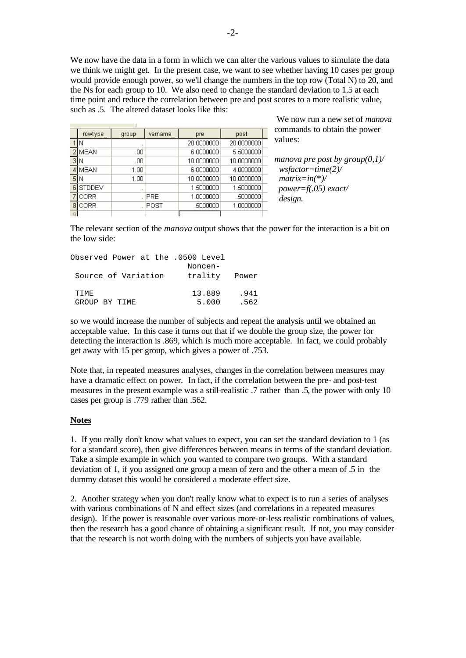We now have the data in a form in which we can alter the various values to simulate the data we think we might get. In the present case, we want to see whether having 10 cases per group would provide enough power, so we'll change the numbers in the top row (Total N) to 20, and the Ns for each group to 10. We also need to change the standard deviation to 1.5 at each time point and reduce the correlation between pre and post scores to a more realistic value, such as .5. The altered dataset looks like this:

|   | rowtype     | group | varname    | pre        | post       |
|---|-------------|-------|------------|------------|------------|
|   | Ν           |       |            | 20.0000000 | 20.0000000 |
|   | MEAN        | .00   |            | 6.0000000  | 5.5000000  |
| 3 | Ν           | .00   |            | 10.0000000 | 10.0000000 |
|   | <b>MEAN</b> | 1.00  |            | 6.0000000  | 4.0000000  |
| 5 | Ν           | 1.00  |            | 10.0000000 | 10.0000000 |
| 6 | STDDEV      | ٠     |            | 1.5000000  | 1.5000000  |
|   | CORR        |       | <b>PRE</b> | 1.0000000  | .5000000   |
| 8 | CORR        |       | POST       | .5000000   | 1.0000000  |
|   |             |       |            |            |            |

We now run a new set of *manova* commands to obtain the power values:

*manova pre post by group(0,1)/ wsfactor=time(2)/ matrix=in(\*)/ power=f(.05) exact/ design.*

The relevant section of the *manova* output shows that the power for the interaction is a bit on the low side:

| Observed Power at the .0500 Level |               |      |
|-----------------------------------|---------------|------|
|                                   | Noncen-       |      |
| Source of Variation               | trality Power |      |
| TTME.                             | 13.889        | .941 |
| GROUP BY TIME                     | 5.000         | .562 |

so we would increase the number of subjects and repeat the analysis until we obtained an acceptable value. In this case it turns out that if we double the group size, the power for detecting the interaction is .869, which is much more acceptable. In fact, we could probably get away with 15 per group, which gives a power of .753.

Note that, in repeated measures analyses, changes in the correlation between measures may have a dramatic effect on power. In fact, if the correlation between the pre- and post-test measures in the present example was a still-realistic .7 rather than .5, the power with only 10 cases per group is .779 rather than .562.

### **Notes**

1. If you really don't know what values to expect, you can set the standard deviation to 1 (as for a standard score), then give differences between means in terms of the standard deviation. Take a simple example in which you wanted to compare two groups. With a standard deviation of 1, if you assigned one group a mean of zero and the other a mean of .5 in the dummy dataset this would be considered a moderate effect size.

2. Another strategy when you don't really know what to expect is to run a series of analyses with various combinations of N and effect sizes (and correlations in a repeated measures design). If the power is reasonable over various more-or-less realistic combinations of values, then the research has a good chance of obtaining a significant result. If not, you may consider that the research is not worth doing with the numbers of subjects you have available.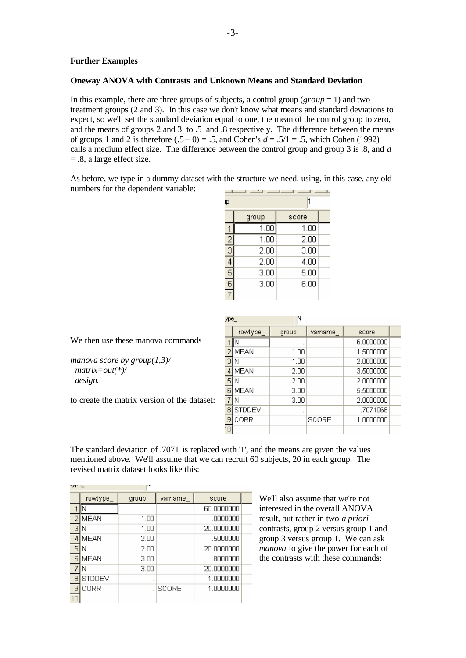# **Further Examples**

### **Oneway ANOVA with Contrasts and Unknown Means and Standard Deviation**

In this example, there are three groups of subjects, a control group (*group* = 1) and two treatment groups (2 and 3). In this case we don't know what means and standard deviations to expect, so we'll set the standard deviation equal to one, the mean of the control group to zero, and the means of groups 2 and 3 to .5 and .8 respectively. The difference between the means of groups 1 and 2 is therefore  $(.5 - 0) = .5$ , and Cohen's  $d = .5/1 = .5$ , which Cohen (1992) calls a medium effect size. The difference between the control group and group 3 is .8, and *d* = .8, a large effect size.

As before, we type in a dummy dataset with the structure we need, using, in this case, any old numbers for the dependent variable:

| ID          |       |       |  |  |  |  |  |
|-------------|-------|-------|--|--|--|--|--|
|             | group | score |  |  |  |  |  |
|             | 1.00  | 1.00  |  |  |  |  |  |
|             | 1.00  | 2.00  |  |  |  |  |  |
| $rac{2}{3}$ | 2.00  | 3.00  |  |  |  |  |  |
|             | 2.00  | 4.00  |  |  |  |  |  |
| 5           | 3.00  | 5.00  |  |  |  |  |  |
| 6           | 3.00  | 6.00  |  |  |  |  |  |
|             |       |       |  |  |  |  |  |

We then use these manova commands

*manova score by group(1,3)/ matrix=out(\*)/ design.*

to create the matrix version of the dataset:

| ype_ |               | N     |              |           |  |
|------|---------------|-------|--------------|-----------|--|
|      | rowtype       | group | varname      | score     |  |
|      | Ν             |       |              | 6.0000000 |  |
|      | <b>MEAN</b>   | 1.00  |              | 1.5000000 |  |
| з    | Ν             | 1.00  |              | 2.0000000 |  |
|      | <b>MEAN</b>   | 2.00  |              | 3.5000000 |  |
| 5    | N             | 2.00  |              | 2.0000000 |  |
| 6    | <b>MEAN</b>   | 3.00  |              | 5.5000000 |  |
|      | N             | 3.00  |              | 2.0000000 |  |
| 8    | <b>STDDEV</b> | ٠     |              | .7071068  |  |
| 9    | CORR          |       | <b>SCORE</b> | 1.0000000 |  |
|      |               |       |              |           |  |

The standard deviation of .7071 is replaced with '1', and the means are given the values mentioned above. We'll assume that we can recruit 60 subjects, 20 in each group. The revised matrix dataset looks like this:

| in yek ku |               | . .     |              |            |  |
|-----------|---------------|---------|--------------|------------|--|
|           | rowtype       | group   | varname      | score      |  |
|           |               |         |              | 60.0000000 |  |
|           | <b>MEAN</b>   | 1.00    |              | .0000000   |  |
| з         | N             | 1.00    |              | 20,0000000 |  |
|           | <b>MEAN</b>   | 2.00    |              | .5000000   |  |
| 5         | Ν             | 2.00    |              | 20.0000000 |  |
| 6         | <b>MEAN</b>   | 3.00    |              | .8000000   |  |
|           | N             | 3.00    |              | 20.0000000 |  |
| 8         | <b>STDDEV</b> | $\cdot$ |              | 1.0000000  |  |
| 9         | CORR          |         | <b>SCORE</b> | 1.0000000  |  |
|           |               |         |              |            |  |

We'll also assume that we're not interested in the overall ANOVA result, but rather in two *a priori* contrasts, group 2 versus group 1 and group 3 versus group 1. We can ask *manova* to give the power for each of the contrasts with these commands: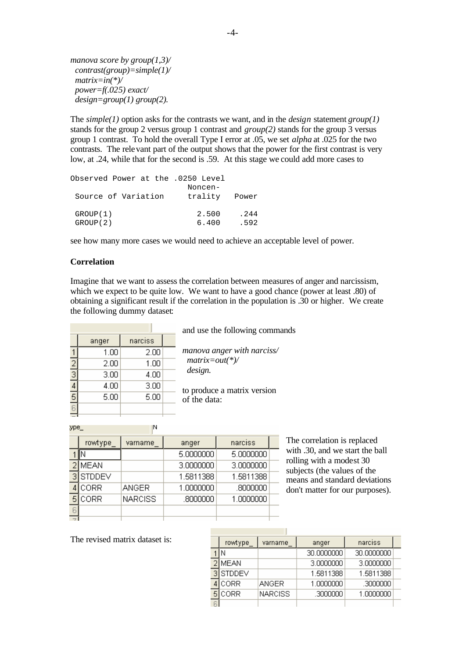*manova score by group(1,3)/ contrast(group)=simple(1)/ matrix=in(\*)/ power=f(.025) exact/ design=group(1) group(2).*

The *simple(1)* option asks for the contrasts we want, and in the *design* statement *group(1)* stands for the group 2 versus group 1 contrast and *group(2)* stands for the group 3 versus group 1 contrast. To hold the overall Type I error at .05, we set *alpha* at .025 for the two contrasts. The relevant part of the output shows that the power for the first contrast is very low, at .24, while that for the second is .59. At this stage we could add more cases to

| Observed Power at the .0250 Level |               |      |
|-----------------------------------|---------------|------|
|                                   | Noncen-       |      |
| Source of Variation               | trality Power |      |
| GROUP (1)                         | 2.500         | .244 |
| GROUP(2)                          | 6.400         | .592 |

see how many more cases we would need to achieve an acceptable level of power.

### **Correlation**

Imagine that we want to assess the correlation between measures of anger and narcissism, which we expect to be quite low. We want to have a good chance (power at least  $.80$ ) of obtaining a significant result if the correlation in the population is .30 or higher. We create the following dummy dataset:

|               | anger | narciss |  |
|---------------|-------|---------|--|
|               | 1.00  | 2.00    |  |
| $\frac{2}{3}$ | 2.00  | 1.00    |  |
|               | 3.00  | 4.00    |  |
|               | 4.00  | 3.00    |  |
| $\frac{4}{5}$ | 5.00  | 5.00    |  |
|               |       |         |  |
|               |       |         |  |

and use the following commands

*manova anger with narciss/ matrix=out(\*)/ design.*

to produce a matrix version of the data:

:ype\_

|   | rowtype       | varname        | anger     | narciss   |  |
|---|---------------|----------------|-----------|-----------|--|
|   |               |                | 5.0000000 | 5.0000000 |  |
|   | <b>MEAN</b>   |                | 3.0000000 | 3.0000000 |  |
| З | <b>STDDEV</b> |                | 1.5811388 | 1.5811388 |  |
|   | CORR          | <b>ANGER</b>   | 1.0000000 | .8000000  |  |
|   | CORR          | <b>NARCISS</b> | .8000000  | 1.0000000 |  |
|   |               |                |           |           |  |
|   |               |                |           |           |  |

 $\mathsf{N}$ 

The correlation is replaced with .30, and we start the ball rolling with a modest 30 subjects (the values of the means and standard deviations don't matter for our purposes).

The revised matrix dataset is:

|   | rowtype       | varname        | anger      | narciss    |  |
|---|---------------|----------------|------------|------------|--|
|   |               |                | 30,0000000 | 30.0000000 |  |
|   | MEAN          |                | 3,0000000  | 3.0000000  |  |
| о | <b>STDDEV</b> |                | 1.5811388  | 1.5811388  |  |
|   | CORR          | <b>ANGER</b>   | 1.0000000  | .3000000   |  |
|   | CORR          | <b>NARCISS</b> | .3000000   | 1.0000000  |  |
|   |               |                |            |            |  |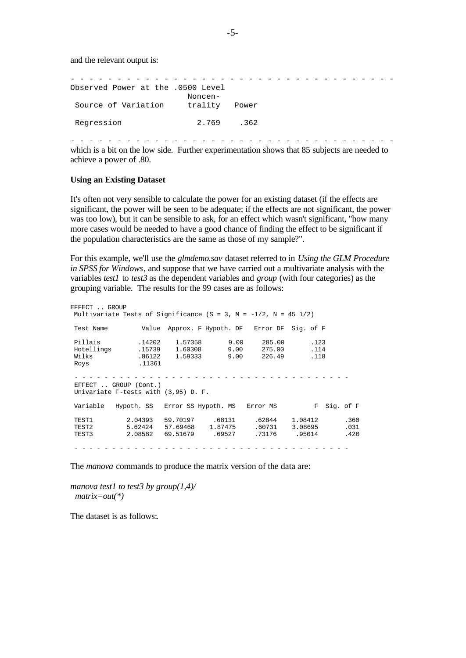and the relevant output is:

| Observed Power at the .0500 Level<br>Source of Variation | Noncen-<br>trality | Power |  |  |  |  |  |  |
|----------------------------------------------------------|--------------------|-------|--|--|--|--|--|--|
| Regression                                               | 2.769.362          |       |  |  |  |  |  |  |

- - - - - - - - - - - - - - - - - - - - - - - - - - - - - - - - - - which is a bit on the low side. Further experimentation shows that 85 subjects are needed to achieve a power of .80.

### **Using an Existing Dataset**

It's often not very sensible to calculate the power for an existing dataset (if the effects are significant, the power will be seen to be adequate; if the effects are not significant, the power was too low), but it can be sensible to ask, for an effect which wasn't significant, "how many more cases would be needed to have a good chance of finding the effect to be significant if the population characteristics are the same as those of my sample?".

For this example, we'll use the *glmdemo.sav* dataset referred to in *Using the GLM Procedure in SPSS for Windows*, and suppose that we have carried out a multivariate analysis with the variables *test1* to *test3* as the dependent variables and *group* (with four categories) as the grouping variable. The results for the 99 cases are as follows:

| EFFECT  GROUP                                                   | Multivariate Tests of Significance (S = 3, M = $-1/2$ , N = 45 1/2) |                              |                                      |                                               |                              |                      |  |  |
|-----------------------------------------------------------------|---------------------------------------------------------------------|------------------------------|--------------------------------------|-----------------------------------------------|------------------------------|----------------------|--|--|
| Test Name                                                       |                                                                     |                              |                                      | Value Approx. F Hypoth. DF Error DF Sig. of F |                              |                      |  |  |
| Pillais<br>Hotellings                                           | .14202                                                              | 1.57358<br>.15739 1.60308    | 9.00<br>9.00                         | 285.00<br>275.00                              | .123<br>.114                 |                      |  |  |
| Wilks<br>Roys                                                   | .11361                                                              |                              |                                      | .86122 1.59333 9.00 226.49                    | .118                         |                      |  |  |
|                                                                 |                                                                     |                              |                                      |                                               |                              |                      |  |  |
| EFFECT  GROUP (Cont.)<br>Univariate F-tests with $(3,95)$ D. F. |                                                                     |                              |                                      |                                               |                              |                      |  |  |
| Variable                                                        | Hypoth. SS   Error SS Hypoth. MS   Error MS                         |                              |                                      |                                               | F                            | Sig. of F            |  |  |
| TEST1<br>TEST2<br>TEST3                                         | 2.04393<br>2.08582                                                  | 59.70197<br>5.62424 57.69468 | .68131<br>1.87475<br>69.51679 .69527 | .62844<br>.60731<br>.73176                    | 1.08412<br>3.08695<br>.95014 | .360<br>.031<br>.420 |  |  |
|                                                                 |                                                                     |                              |                                      |                                               |                              |                      |  |  |

The *manova* commands to produce the matrix version of the data are:

*manova test1 to test3 by group(1,4)/ matrix=out(\*)*

The dataset is as follows:*.*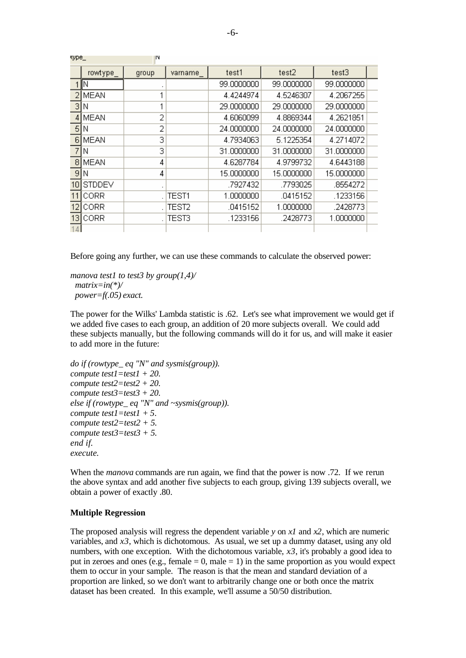| wpc_ |               | m     |                   |            |            |            |  |
|------|---------------|-------|-------------------|------------|------------|------------|--|
|      | rowtype_      | group | varname           | test1      | test2      | test3      |  |
|      | IN            |       |                   | 99.0000000 | 99.0000000 | 99.0000000 |  |
| 2    | <b>MEAN</b>   |       |                   | 4.4244974  | 4.5246307  | 4.2067255  |  |
| З    | Ν             | 1     |                   | 29.0000000 | 29.0000000 | 29.0000000 |  |
| 4    | MEAN          | 2     |                   | 4.6060099  | 4.8869344  | 4.2621851  |  |
| 5    | N             | 2     |                   | 24.0000000 | 24.0000000 | 24.0000000 |  |
| 6    | <b>MEAN</b>   | 3     |                   | 4.7934063  | 5.1225354  | 4.2714072  |  |
|      | Ν             | 3     |                   | 31.0000000 | 31.0000000 | 31.0000000 |  |
| 8    | <b>MEAN</b>   | 4     |                   | 4.6287784  | 4.9799732  | 4.6443188  |  |
| 9    | Ν             | 4     |                   | 15.0000000 | 15.0000000 | 15.0000000 |  |
| 10   | <b>STDDEV</b> |       |                   | .7927432   | .7793025   | .8554272   |  |
| 11   | CORR          |       | TEST1             | 1.0000000  | .0415152   | .1233156   |  |
| 12   | CORR          |       | TEST <sub>2</sub> | .0415152   | 1.0000000  | .2428773   |  |
| 13   | CORR          |       | TEST3             | .1233156   | .2428773   | 1.0000000  |  |
|      |               |       |                   |            |            |            |  |

Before going any further, we can use these commands to calculate the observed power:

*manova test1 to test3 by group(1,4)/ matrix=in(\*)/ power=f(.05) exact.*

**COLOR** 

The power for the Wilks' Lambda statistic is .62. Let's see what improvement we would get if we added five cases to each group, an addition of 20 more subjects overall. We could add these subjects manually, but the following commands will do it for us, and will make it easier to add more in the future:

```
do if (rowtype_ eq "N" and sysmis(group)).
compute test1=test1 + 20.
compute test2=test2 + 20.
compute test3=test3 + 20.
else if (rowtype_ eq "N" and ~sysmis(group)).
compute test1=test1 + 5.
compute test2=test2 + 5.
compute test3=test3 + 5.
end if.
execute.
```
When the *manova* commands are run again, we find that the power is now .72. If we rerun the above syntax and add another five subjects to each group, giving 139 subjects overall, we obtain a power of exactly .80.

### **Multiple Regression**

The proposed analysis will regress the dependent variable *y* on *x1* and *x2*, which are numeric variables, and *x3*, which is dichotomous. As usual, we set up a dummy dataset, using any old numbers, with one exception. With the dichotomous variable, *x3*, it's probably a good idea to put in zeroes and ones (e.g., female  $= 0$ , male  $= 1$ ) in the same proportion as you would expect them to occur in your sample. The reason is that the mean and standard deviation of a proportion are linked, so we don't want to arbitrarily change one or both once the matrix dataset has been created. In this example, we'll assume a 50/50 distribution.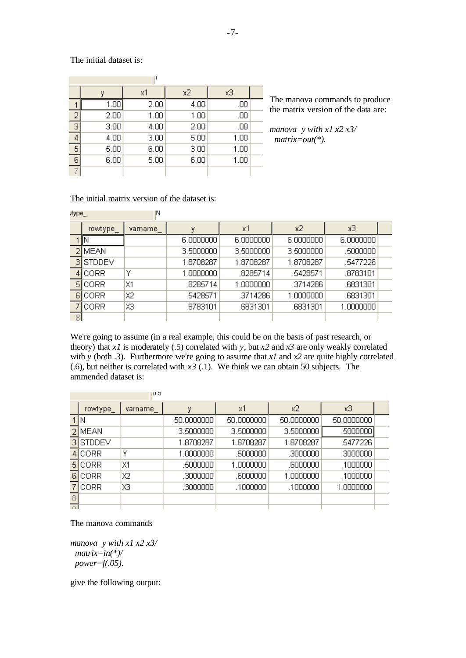The initial dataset is:

|               | w    | x1   | x2   | хЗ   |  |  |  |  |
|---------------|------|------|------|------|--|--|--|--|
|               | 1.00 | 2.00 | 4.00 | .00  |  |  |  |  |
| $\frac{2}{3}$ | 2.00 | 1.00 | 1.00 | .00  |  |  |  |  |
|               | 3.00 | 4.00 | 2.00 | .00  |  |  |  |  |
|               | 4.00 | 3.00 | 5.00 | 1.00 |  |  |  |  |
| 5             | 5.00 | 6.00 | 3.00 | 1.00 |  |  |  |  |
| 6             | 6.00 | 5.00 | 6.00 | 1.00 |  |  |  |  |
|               |      |      |      |      |  |  |  |  |

The manova commands to produce the matrix version of the data are:

*manova y with x1 x2 x3/ matrix=out(\*).*

The initial matrix version of the dataset is:

 $\sim$ 

and of

| itype_ |               | ΙN      |           |           |           |           |  |  |
|--------|---------------|---------|-----------|-----------|-----------|-----------|--|--|
|        | rowtype       | varname | ٧         | x1        | x2        | хЗ        |  |  |
|        |               |         | 6.0000000 | 6.0000000 | 6.0000000 | 6.0000000 |  |  |
|        | <b>MEAN</b>   |         | 3.5000000 | 3.5000000 | 3.5000000 | .5000000  |  |  |
|        | <b>STDDEV</b> |         | 1.8708287 | 1.8708287 | 1.8708287 | .5477226  |  |  |
|        | <b>CORR</b>   | ٧       | 1.0000000 | .8285714  | .5428571  | .8783101  |  |  |
| 5      | CORR          | X1      | .8285714  | 1.0000000 | .3714286  | .6831301  |  |  |
|        | <b>CORR</b>   | Х2      | .5428571  | .3714286  | 1.0000000 | .6831301  |  |  |
|        | CORR          | XЗ      | .8783101  | .6831301  | .6831301  | 1.0000000 |  |  |
|        |               |         |           |           |           |           |  |  |

We're going to assume (in a real example, this could be on the basis of past research, or theory) that *x1* is moderately (.5) correlated with *y*, but *x2* and *x3* are only weakly correlated with *y* (both .3). Furthermore we're going to assume that *x1* and *x2* are quite highly correlated (.6), but neither is correlated with  $x3$  (.1). We think we can obtain 50 subjects. The ammended dataset is:

|    |               | - -     |            |            |            |            |  |
|----|---------------|---------|------------|------------|------------|------------|--|
|    | rowtype_      | varname | ۷          | x1         | x2         | хЗ         |  |
|    | ΙN            |         | 50.0000000 | 50,0000000 | 50,0000000 | 50.0000000 |  |
|    | 2 MEAN        |         | 3.5000000  | 3.5000000  | 3.5000000  | .5000000   |  |
| зI | <b>STDDEV</b> |         | 1.8708287  | 1.8708287  | 1.8708287  | .5477226   |  |
|    | CORR          | Υ       | 1.0000000  | .5000000   | .3000000   | .3000000   |  |
| 51 | CORR          | X1      | .5000000   | 1.0000000  | .6000000   | .1000000   |  |
| 61 | CORR          | Χ2      | .3000000   | .6000000   | 1.0000000  | .1000000   |  |
|    | CORR          | XЗ      | .3000000   | .1000000   | .1000000   | 1.0000000  |  |
|    |               |         |            |            |            |            |  |
|    |               |         |            |            |            |            |  |

The manova commands

*manova y with x1 x2 x3/ matrix=in(\*)/ power=f(.05).*

give the following output: